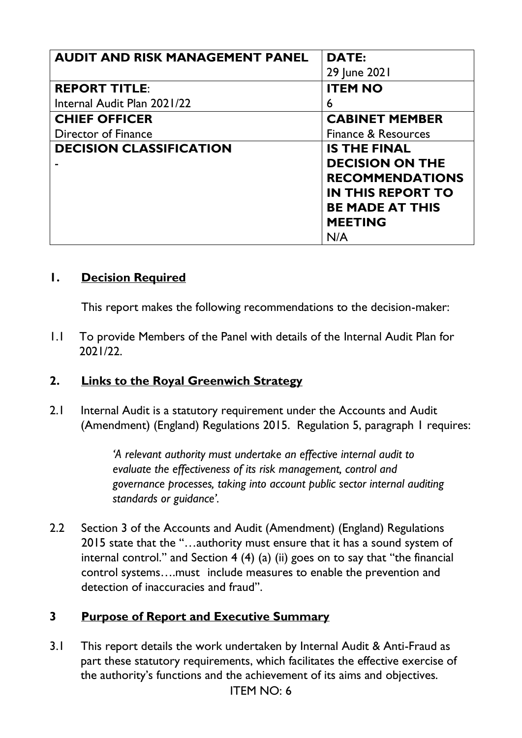| <b>AUDIT AND RISK MANAGEMENT PANEL</b> | <b>DATE:</b>             |
|----------------------------------------|--------------------------|
|                                        | 29 June 2021             |
| <b>REPORT TITLE:</b>                   | <b>ITEM NO</b>           |
| Internal Audit Plan 2021/22            | 6                        |
| <b>CHIEF OFFICER</b>                   | <b>CABINET MEMBER</b>    |
| Director of Finance                    | Finance & Resources      |
| <b>DECISION CLASSIFICATION</b>         | <b>IS THE FINAL</b>      |
|                                        | <b>DECISION ON THE</b>   |
|                                        | <b>RECOMMENDATIONS</b>   |
|                                        | <b>IN THIS REPORT TO</b> |
|                                        | <b>BE MADE AT THIS</b>   |
|                                        | <b>MEETING</b>           |
|                                        | N/A                      |

#### **1. Decision Required**

This report makes the following recommendations to the decision-maker:

1.1 To provide Members of the Panel with details of the Internal Audit Plan for 2021/22.

#### **2. Links to the Royal Greenwich Strategy**

2.1 Internal Audit is a statutory requirement under the Accounts and Audit (Amendment) (England) Regulations 2015. Regulation 5, paragraph 1 requires:

> *'A relevant authority must undertake an effective internal audit to evaluate the effectiveness of its risk management, control and governance processes, taking into account public sector internal auditing standards or guidance'.*

2.2 Section 3 of the Accounts and Audit (Amendment) (England) Regulations 2015 state that the "…authority must ensure that it has a sound system of internal control." and Section 4 (4) (a) (ii) goes on to say that "the financial control systems….must include measures to enable the prevention and detection of inaccuracies and fraud".

#### **3 Purpose of Report and Executive Summary**

3.1 This report details the work undertaken by Internal Audit & Anti-Fraud as part these statutory requirements, which facilitates the effective exercise of the authority's functions and the achievement of its aims and objectives.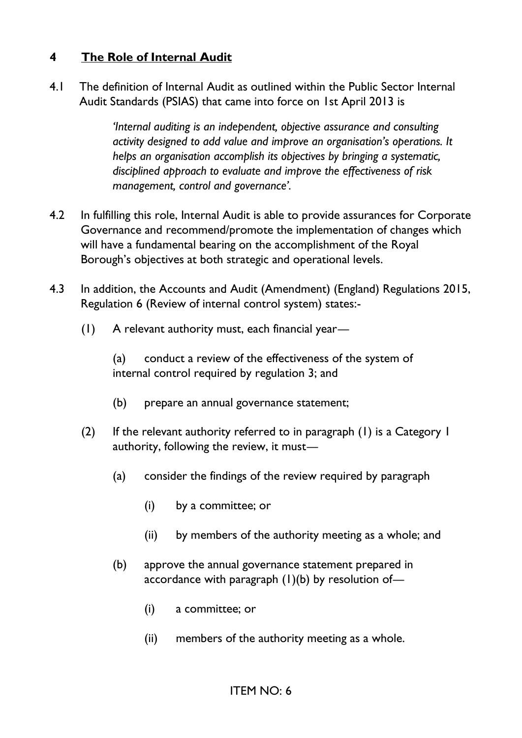## **4 The Role of Internal Audit**

4.1 The definition of Internal Audit as outlined within the Public Sector Internal Audit Standards (PSIAS) that came into force on 1st April 2013 is

> *'Internal auditing is an independent, objective assurance and consulting activity designed to add value and improve an organisation's operations. It helps an organisation accomplish its objectives by bringing a systematic, disciplined approach to evaluate and improve the effectiveness of risk management, control and governance'.*

- 4.2 In fulfilling this role, Internal Audit is able to provide assurances for Corporate Governance and recommend/promote the implementation of changes which will have a fundamental bearing on the accomplishment of the Royal Borough's objectives at both strategic and operational levels.
- 4.3 In addition, the Accounts and Audit (Amendment) (England) Regulations 2015, Regulation 6 (Review of internal control system) states:-
	- (1) A relevant authority must, each financial year—

 (a) conduct a review of the effectiveness of the system of internal control required by regulation 3; and

- (b) prepare an annual governance statement;
- (2) If the relevant authority referred to in paragraph (1) is a Category 1 authority, following the review, it must—
	- (a) consider the findings of the review required by paragraph
		- (i) by a committee; or
		- (ii) by members of the authority meeting as a whole; and
	- (b) approve the annual governance statement prepared in accordance with paragraph  $(1)(b)$  by resolution of-
		- (i) a committee; or
		- (ii) members of the authority meeting as a whole.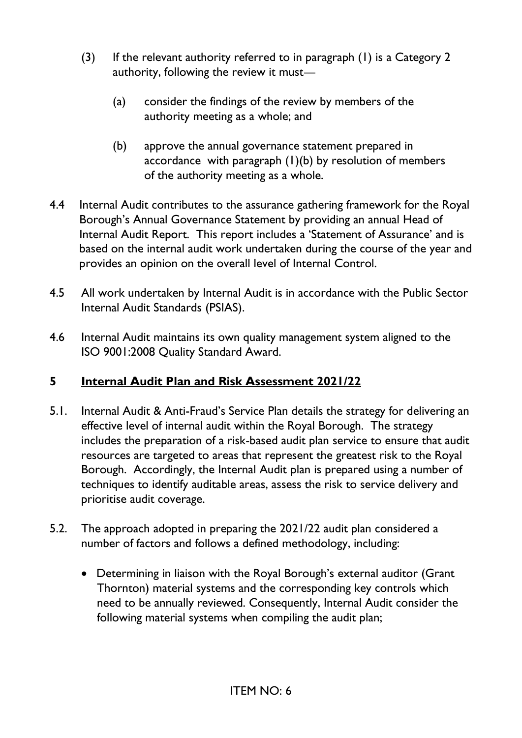- (3) If the relevant authority referred to in paragraph (1) is a Category 2 authority, following the review it must—
	- (a) consider the findings of the review by members of the authority meeting as a whole; and
	- (b) approve the annual governance statement prepared in accordance with paragraph (1)(b) by resolution of members of the authority meeting as a whole.
- 4.4 Internal Audit contributes to the assurance gathering framework for the Royal Borough's Annual Governance Statement by providing an annual Head of Internal Audit Report. This report includes a 'Statement of Assurance' and is based on the internal audit work undertaken during the course of the year and provides an opinion on the overall level of Internal Control.
- 4.5 All work undertaken by Internal Audit is in accordance with the Public Sector Internal Audit Standards (PSIAS).
- 4.6 Internal Audit maintains its own quality management system aligned to the ISO 9001:2008 Quality Standard Award.

# **5 Internal Audit Plan and Risk Assessment 2021/22**

- 5.1. Internal Audit & Anti-Fraud's Service Plan details the strategy for delivering an effective level of internal audit within the Royal Borough. The strategy includes the preparation of a risk-based audit plan service to ensure that audit resources are targeted to areas that represent the greatest risk to the Royal Borough. Accordingly, the Internal Audit plan is prepared using a number of techniques to identify auditable areas, assess the risk to service delivery and prioritise audit coverage.
- 5.2. The approach adopted in preparing the 2021/22 audit plan considered a number of factors and follows a defined methodology, including:
	- Determining in liaison with the Royal Borough's external auditor (Grant Thornton) material systems and the corresponding key controls which need to be annually reviewed. Consequently, Internal Audit consider the following material systems when compiling the audit plan;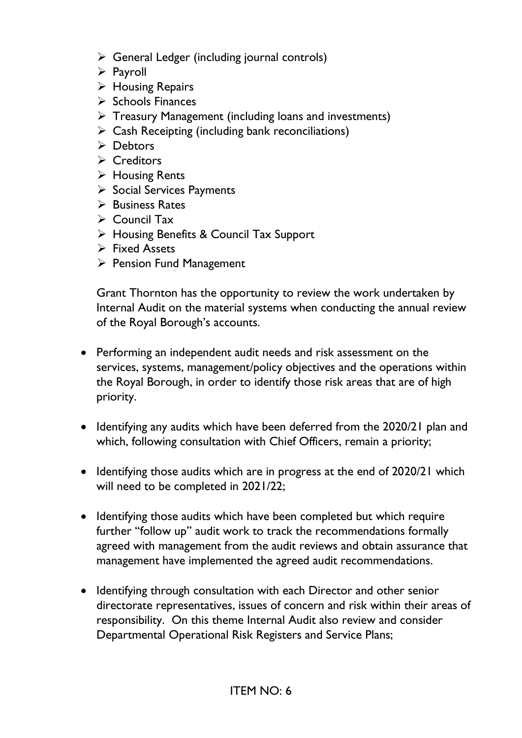- $\triangleright$  General Ledger (including journal controls)
- ➢ Payroll
- ➢ Housing Repairs
- ➢ Schools Finances
- ➢ Treasury Management (including loans and investments)
- $\triangleright$  Cash Receipting (including bank reconciliations)
- ➢ Debtors
- ➢ Creditors
- ➢ Housing Rents
- ➢ Social Services Payments
- ➢ Business Rates
- ➢ Council Tax
- ➢ Housing Benefits & Council Tax Support
- ➢ Fixed Assets
- ➢ Pension Fund Management

Grant Thornton has the opportunity to review the work undertaken by Internal Audit on the material systems when conducting the annual review of the Royal Borough's accounts.

- Performing an independent audit needs and risk assessment on the services, systems, management/policy objectives and the operations within the Royal Borough, in order to identify those risk areas that are of high priority.
- Identifying any audits which have been deferred from the 2020/21 plan and which, following consultation with Chief Officers, remain a priority;
- Identifying those audits which are in progress at the end of 2020/21 which will need to be completed in 2021/22;
- Identifying those audits which have been completed but which require further "follow up" audit work to track the recommendations formally agreed with management from the audit reviews and obtain assurance that management have implemented the agreed audit recommendations.
- Identifying through consultation with each Director and other senior directorate representatives, issues of concern and risk within their areas of responsibility. On this theme Internal Audit also review and consider Departmental Operational Risk Registers and Service Plans;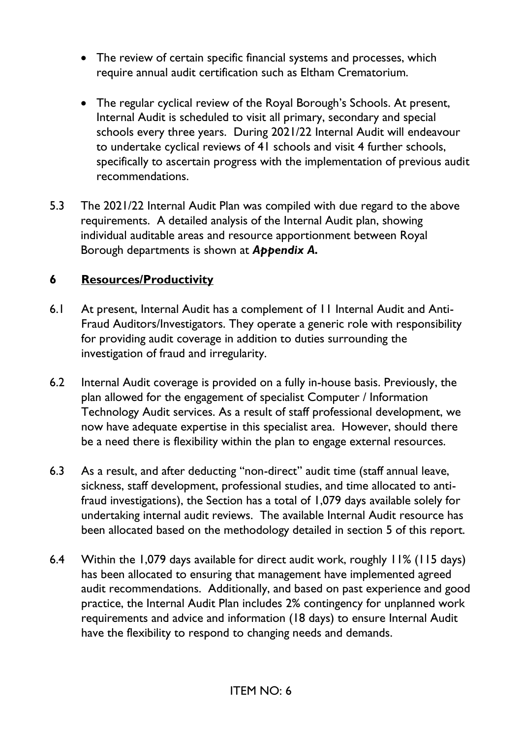- The review of certain specific financial systems and processes, which require annual audit certification such as Eltham Crematorium.
- The regular cyclical review of the Royal Borough's Schools. At present, Internal Audit is scheduled to visit all primary, secondary and special schools every three years. During 2021/22 Internal Audit will endeavour to undertake cyclical reviews of 41 schools and visit 4 further schools, specifically to ascertain progress with the implementation of previous audit recommendations.
- 5.3 The 2021/22 Internal Audit Plan was compiled with due regard to the above requirements. A detailed analysis of the Internal Audit plan, showing individual auditable areas and resource apportionment between Royal Borough departments is shown at *Appendix A.*

## **6 Resources/Productivity**

- 6.1 At present, Internal Audit has a complement of 11 Internal Audit and Anti-Fraud Auditors/Investigators. They operate a generic role with responsibility for providing audit coverage in addition to duties surrounding the investigation of fraud and irregularity.
- 6.2 Internal Audit coverage is provided on a fully in-house basis. Previously, the plan allowed for the engagement of specialist Computer / Information Technology Audit services. As a result of staff professional development, we now have adequate expertise in this specialist area. However, should there be a need there is flexibility within the plan to engage external resources.
- 6.3 As a result, and after deducting "non-direct" audit time (staff annual leave, sickness, staff development, professional studies, and time allocated to antifraud investigations), the Section has a total of 1,079 days available solely for undertaking internal audit reviews. The available Internal Audit resource has been allocated based on the methodology detailed in section 5 of this report.
- 6.4 Within the 1,079 days available for direct audit work, roughly 11% (115 days) has been allocated to ensuring that management have implemented agreed audit recommendations. Additionally, and based on past experience and good practice, the Internal Audit Plan includes 2% contingency for unplanned work requirements and advice and information (18 days) to ensure Internal Audit have the flexibility to respond to changing needs and demands.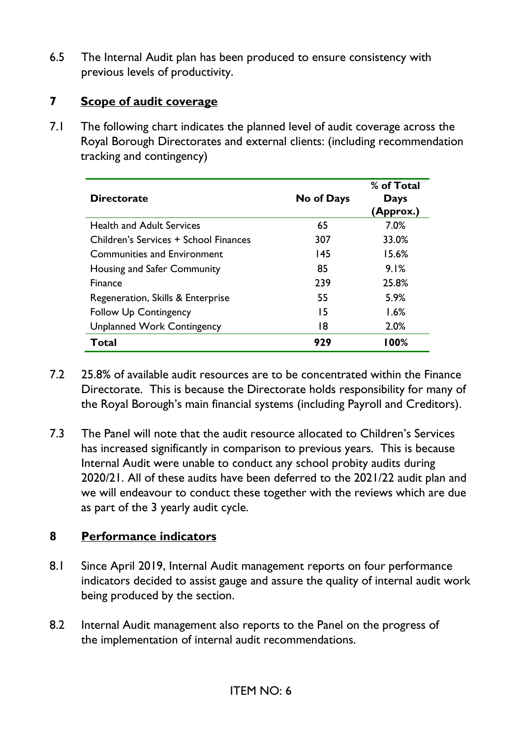6.5 The Internal Audit plan has been produced to ensure consistency with previous levels of productivity.

#### **7 Scope of audit coverage**

7.1 The following chart indicates the planned level of audit coverage across the Royal Borough Directorates and external clients: (including recommendation tracking and contingency)

| <b>Directorate</b>                    | No of Days | % of Total<br>Days<br>(Approx.) |
|---------------------------------------|------------|---------------------------------|
| <b>Health and Adult Services</b>      | 65         | 7.0%                            |
| Children's Services + School Finances | 307        | 33.0%                           |
| Communities and Environment           | 145        | 15.6%                           |
| Housing and Safer Community           | 85         | 9.1%                            |
| <b>Finance</b>                        | 239        | 25.8%                           |
| Regeneration, Skills & Enterprise     | 55         | 5.9%                            |
| <b>Follow Up Contingency</b>          | 15         | 1.6%                            |
| <b>Unplanned Work Contingency</b>     | 18         | 2.0%                            |
| Total                                 | 929        | l 00%                           |

- 7.2 25.8% of available audit resources are to be concentrated within the Finance Directorate. This is because the Directorate holds responsibility for many of the Royal Borough's main financial systems (including Payroll and Creditors).
- 7.3 The Panel will note that the audit resource allocated to Children's Services has increased significantly in comparison to previous years. This is because Internal Audit were unable to conduct any school probity audits during 2020/21. All of these audits have been deferred to the 2021/22 audit plan and we will endeavour to conduct these together with the reviews which are due as part of the 3 yearly audit cycle.

## **8 Performance indicators**

- 8.1 Since April 2019, Internal Audit management reports on four performance indicators decided to assist gauge and assure the quality of internal audit work being produced by the section.
- 8.2 Internal Audit management also reports to the Panel on the progress of the implementation of internal audit recommendations.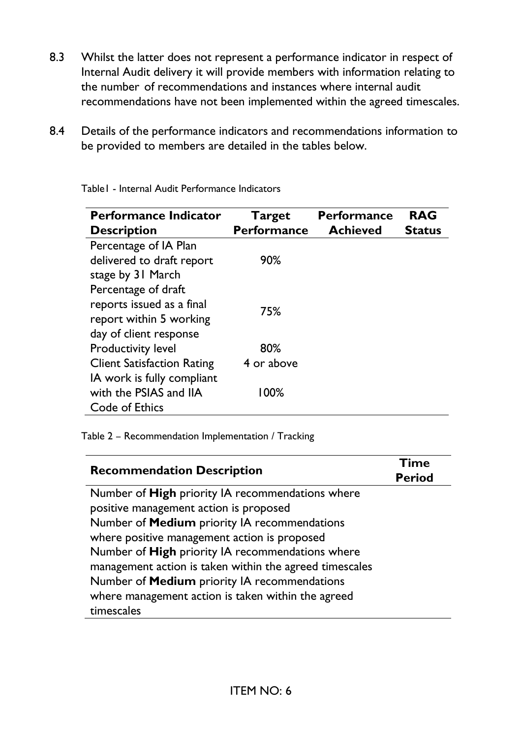- 8.3 Whilst the latter does not represent a performance indicator in respect of Internal Audit delivery it will provide members with information relating to the number of recommendations and instances where internal audit recommendations have not been implemented within the agreed timescales.
- 8.4 Details of the performance indicators and recommendations information to be provided to members are detailed in the tables below.

| <b>Performance Indicator</b><br><b>Description</b>                                                    | <b>Target</b><br><b>Performance</b> | <b>Performance</b><br><b>Achieved</b> | <b>RAG</b><br><b>Status</b> |
|-------------------------------------------------------------------------------------------------------|-------------------------------------|---------------------------------------|-----------------------------|
| Percentage of IA Plan<br>delivered to draft report<br>stage by 31 March                               | 90%                                 |                                       |                             |
| Percentage of draft<br>reports issued as a final<br>report within 5 working<br>day of client response | 75%                                 |                                       |                             |
| <b>Productivity level</b>                                                                             | 80%                                 |                                       |                             |
| <b>Client Satisfaction Rating</b><br>IA work is fully compliant                                       | 4 or above                          |                                       |                             |
| with the PSIAS and IIA<br>Code of Ethics                                                              | 100%                                |                                       |                             |

Table1 - Internal Audit Performance Indicators

Table 2 – Recommendation Implementation / Tracking

| <b>Recommendation Description</b>                       | <b>Time</b><br><b>Period</b> |
|---------------------------------------------------------|------------------------------|
| Number of High priority IA recommendations where        |                              |
| positive management action is proposed                  |                              |
| Number of Medium priority IA recommendations            |                              |
| where positive management action is proposed            |                              |
| Number of High priority IA recommendations where        |                              |
| management action is taken within the agreed timescales |                              |
| Number of <b>Medium</b> priority IA recommendations     |                              |
| where management action is taken within the agreed      |                              |
| timescales                                              |                              |